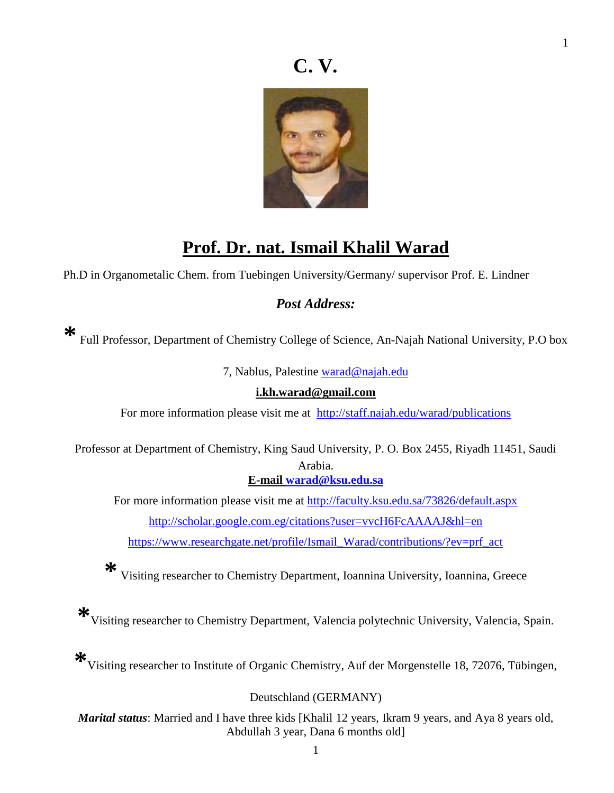## **C. V.**



## **Prof. Dr. nat. Ismail Khalil Warad**

Ph.D in Organometalic Chem. from Tuebingen University/Germany/ supervisor Prof. E. Lindner

### *Post Address:*

Full Professor, Department of Chemistry College of Science, An-Najah National University, P.O box

7, Nablus, Palestine warad@najah.edu

#### **i.kh.warad@gmail.com**

For more information please visit me at http://staff.najah.edu/warad/publications

Professor at Department of Chemistry, King Saud University, P. O. Box 2455, Riyadh 11451, Saudi Arabia.

#### **E-mail warad@ksu.edu.sa**

For more information please visit me at http://faculty.ksu.edu.sa/73826/default.aspx http://scholar.google.com.eg/citations?user=vvcH6FcAAAAJ&hl=en

https://www.researchgate.net/profile/Ismail\_Warad/contributions/?ev=prf\_act

**\*** Visiting researcher to Chemistry Department, Ioannina University, Ioannina, Greece

**\***Visiting researcher to Chemistry Department, Valencia polytechnic University, Valencia, Spain.

**\***Visiting researcher to Institute of Organic Chemistry, Auf der Morgenstelle 18, 72076, Tübingen,

#### Deutschland (GERMANY)

*Marital status*: Married and I have three kids [Khalil 12 years, Ikram 9 years, and Aya 8 years old, Abdullah 3 year, Dana 6 months old]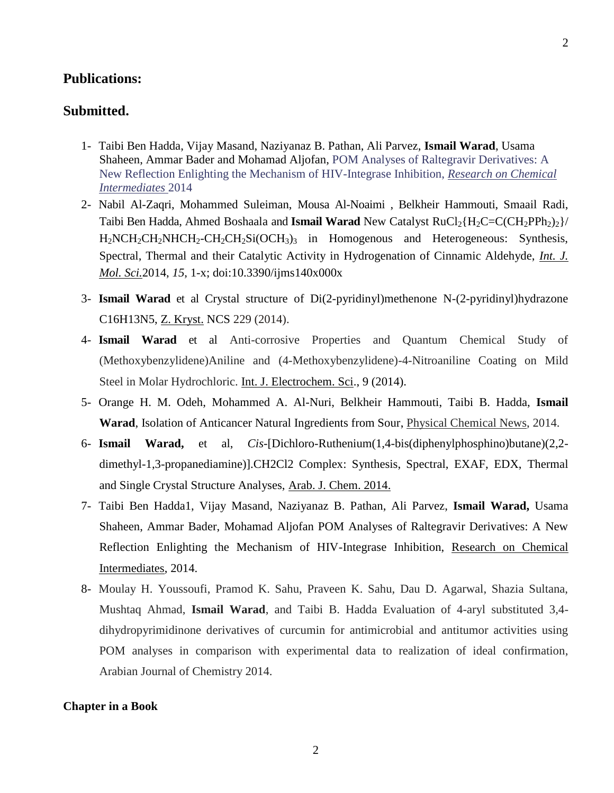#### **Publications:**

#### **Submitted.**

- 1- Taibi Ben Hadda, Vijay Masand, Naziyanaz B. Pathan, Ali Parvez, **Ismail Warad**, Usama Shaheen, Ammar Bader and Mohamad Aljofan, POM Analyses of Raltegravir Derivatives: A New Reflection Enlighting the Mechanism of HIV-Integrase Inhibition, *Research on Chemical Intermediates* 2014
- 2- Nabil Al-Zaqri, Mohammed Suleiman, Mousa Al-Noaimi , Belkheir Hammouti, Smaail Radi, Taibi Ben Hadda, Ahmed Boshaala and **Ismail Warad** New Catalyst RuCl<sub>2</sub>{H<sub>2</sub>C=C(CH<sub>2</sub>PPh<sub>2</sub>)<sub>2</sub>}/  $H_2NCH_2CH_2NHCH_2-CH_2CH_2Si(OCH_3)$ <sub>3</sub> in Homogenous and Heterogeneous: Synthesis, Spectral, Thermal and their Catalytic Activity in Hydrogenation of Cinnamic Aldehyde, *Int. J. Mol. Sci.*2014, *15*, 1-x; doi:10.3390/ijms140x000x
- 3- **Ismail Warad** et al Crystal structure of Di(2-pyridinyl)methenone N-(2-pyridinyl)hydrazone C16H13N5, Z. Kryst. NCS 229 (2014).
- 4- **Ismail Warad** et al Anti-corrosive Properties and Quantum Chemical Study of (Methoxybenzylidene)Aniline and (4-Methoxybenzylidene)-4-Nitroaniline Coating on Mild Steel in Molar Hydrochloric. Int. J. Electrochem. Sci., 9 (2014).
- 5- Orange H. M. Odeh, Mohammed A. Al-Nuri, Belkheir Hammouti, Taibi B. Hadda, **Ismail Warad**, Isolation of Anticancer Natural Ingredients from Sour, Physical Chemical News, 2014.
- 6- **Ismail Warad,** et al, *Cis*-[Dichloro-Ruthenium(1,4-bis(diphenylphosphino)butane)(2,2 dimethyl-1,3-propanediamine)].CH2Cl2 Complex: Synthesis, Spectral, EXAF, EDX, Thermal and Single Crystal Structure Analyses, Arab. J. Chem. 2014.
- 7- Taibi Ben Hadda1, Vijay Masand, Naziyanaz B. Pathan, Ali Parvez, **Ismail Warad,** Usama Shaheen, Ammar Bader, Mohamad Aljofan POM Analyses of Raltegravir Derivatives: A New Reflection Enlighting the Mechanism of HIV-Integrase Inhibition, Research on Chemical Intermediates, 2014.
- 8- Moulay H. Youssoufi, Pramod K. Sahu, Praveen K. Sahu, Dau D. Agarwal, Shazia Sultana, Mushtaq Ahmad, **Ismail Warad**, and Taibi B. Hadda Evaluation of 4-aryl substituted 3,4 dihydropyrimidinone derivatives of curcumin for antimicrobial and antitumor activities using POM analyses in comparison with experimental data to realization of ideal confirmation, Arabian Journal of Chemistry 2014.

#### **Chapter in a Book**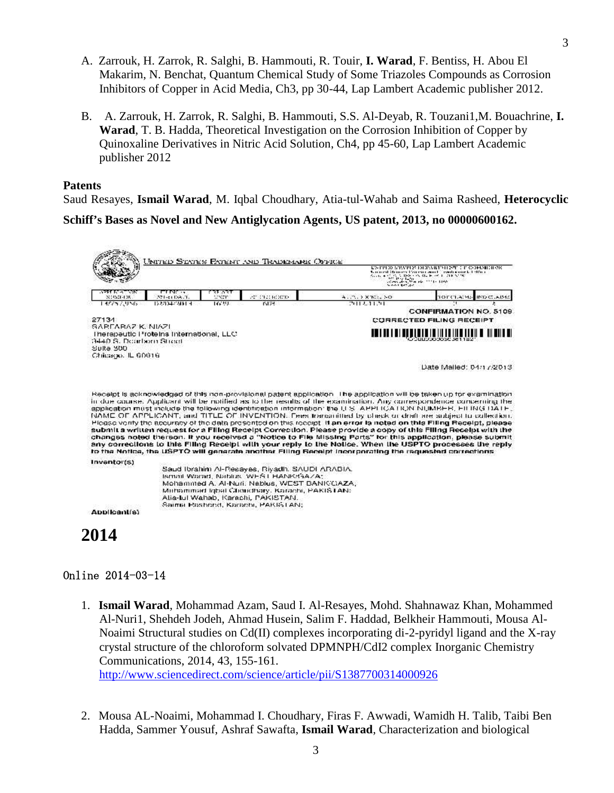- A. Zarrouk, H. Zarrok, R. Salghi, B. Hammouti, R. Touir, **I. Warad**, F. Bentiss, H. Abou El Makarim, N. Benchat, Quantum Chemical Study of Some Triazoles Compounds as Corrosion Inhibitors of Copper in Acid Media, Ch3, pp 30-44, Lap Lambert Academic publisher 2012.
- B. A. Zarrouk, H. Zarrok, R. Salghi, B. Hammouti, S.S. Al-Deyab, R. Touzani1,M. Bouachrine, **I. Warad**, T. B. Hadda, Theoretical Investigation on the Corrosion Inhibition of Copper by Quinoxaline Derivatives in Nitric Acid Solution, Ch4, pp 45-60, Lap Lambert Academic publisher 2012

#### **Patents**

Saud Resayes, **Ismail Warad**, M. Iqbal Choudhary, Atia-tul-Wahab and Saima Rasheed, **Heterocyclic**

**Schiff's Bases as Novel and New Antiglycation Agents, US patent, 2013, no 00000600162.**

| United States Patent and Trademark Office                                                                                   |                               |               |                                                                                       | СУЛТИНЕ УЛУУН УУ ГЭНЕУЛ ИЛУН ЭМТЕР ТӨӨРӨЛӨН ОНО<br>Ground Strucer Parent and Combining Clether<br>$\mathcal{O}_{\mathcal{O}}$ , and $\mathcal{O}_{\mathcal{O}}$ , and $\mathcal{O}_{\mathcal{O}}$ , the positive of the first state $\mathcal{O}_{\mathcal{O}}$ , and $\mathcal{O}_{\mathcal{O}}$ , and $\mathcal{O}_{\mathcal{O}}$ , and $\mathcal{O}_{\mathcal{O}}$ , and $\mathcal{O}_{\mathcal{O}}$ , and $\mathcal{O}_{\mathcal{O}}$ , and $\mathcal$<br>SAAL BEAC                                                                                                                                                                                                                    |                                                                                                              |  |
|-----------------------------------------------------------------------------------------------------------------------------|-------------------------------|---------------|---------------------------------------------------------------------------------------|--------------------------------------------------------------------------------------------------------------------------------------------------------------------------------------------------------------------------------------------------------------------------------------------------------------------------------------------------------------------------------------------------------------------------------------------------------------------------------------------------------------------------------------------------------------------------------------------------------------------------------------------------------------------------------------------|--------------------------------------------------------------------------------------------------------------|--|
| <b>SPEED CONTROL</b><br>NONEGER                                                                                             | <b>ETIMOS</b><br>371-c1006.1. | रा उरा<br>www | 2010/01/2010 ROCCO                                                                    | A. . 2010 X RG. NO.                                                                                                                                                                                                                                                                                                                                                                                                                                                                                                                                                                                                                                                                        | 10131.4045<br>IND CLAIMS                                                                                     |  |
| 145757.956                                                                                                                  | 122424720013                  | 146,591       | T5174                                                                                 | 2012.11.31                                                                                                                                                                                                                                                                                                                                                                                                                                                                                                                                                                                                                                                                                 | ٠,                                                                                                           |  |
| 27134                                                                                                                       |                               |               |                                                                                       |                                                                                                                                                                                                                                                                                                                                                                                                                                                                                                                                                                                                                                                                                            | <b>CONFIRMATION NO. 5109</b><br><b>CORRECTED FILING RECEIPT</b>                                              |  |
| SAREARAZ K. NIAZI<br>Therapeutic Proteins International, LLC<br>3440 S. Desirborn Street<br>Suite 300<br>Chicacio, IL GOG16 |                               |               |                                                                                       |                                                                                                                                                                                                                                                                                                                                                                                                                                                                                                                                                                                                                                                                                            |                                                                                                              |  |
|                                                                                                                             |                               |               |                                                                                       |                                                                                                                                                                                                                                                                                                                                                                                                                                                                                                                                                                                                                                                                                            | Date Malled: $D4/17/2D13$                                                                                    |  |
|                                                                                                                             |                               |               |                                                                                       |                                                                                                                                                                                                                                                                                                                                                                                                                                                                                                                                                                                                                                                                                            | application must include the following identification information: the U.S. APPLICATION NUMBER, FILING DATE, |  |
|                                                                                                                             |                               |               |                                                                                       | NAME OF APPLICANT, and TITLE OF INVENTION. Fees transmitted by check or draft are subject to collection.<br>Please venty the accuracy of the data presented on this receipt. If an error la noted on this Filling Receipt, please<br>submit a written request for a Filing Receipt Correction. Please provide a copy of this Filing Receipt with the<br>changes noted thereon. It you received a "Notice to File Missing Parts" for this application, please submit<br>any corrections to this Filing Receipt with your reply to the Notice. When the USPTO processes the reply<br>to the Notice, the USPTO will generate another Filling Becelpt Incorporating the requested corrections. |                                                                                                              |  |
| Inventor(s)                                                                                                                 |                               |               |                                                                                       |                                                                                                                                                                                                                                                                                                                                                                                                                                                                                                                                                                                                                                                                                            |                                                                                                              |  |
|                                                                                                                             |                               |               | Saud Ibrahim Al-Resayes, Riyadh, SAUDI ARABIA.                                        |                                                                                                                                                                                                                                                                                                                                                                                                                                                                                                                                                                                                                                                                                            |                                                                                                              |  |
|                                                                                                                             |                               |               | Ismail Warad, Nablus, WEST HANKR3AZA;<br>Mohammed A. Al-Nuri: Nablus, WEST BANK CAZA. |                                                                                                                                                                                                                                                                                                                                                                                                                                                                                                                                                                                                                                                                                            |                                                                                                              |  |
|                                                                                                                             |                               |               | Muhammad Iqbal Choudhary, Karachi, PAKISTAN:                                          |                                                                                                                                                                                                                                                                                                                                                                                                                                                                                                                                                                                                                                                                                            |                                                                                                              |  |
| Applicant(a)                                                                                                                |                               |               | Alia-lul Wahab, Karachi, PAKISTAN,<br>Saima Pashend, Kacachi, PARISTAN;               |                                                                                                                                                                                                                                                                                                                                                                                                                                                                                                                                                                                                                                                                                            |                                                                                                              |  |

### **Online 2014-03-14**

- 1. **Ismail Warad**, Mohammad Azam, Saud I. Al-Resayes, Mohd. Shahnawaz Khan, Mohammed Al-Nuri1, Shehdeh Jodeh, Ahmad Husein, Salim F. Haddad, Belkheir Hammouti, Mousa Al- Noaimi Structural studies on Cd(II) complexes incorporating di-2-pyridyl ligand and the X-ray crystal structure of the chloroform solvated DPMNPH/CdI2 complex Inorganic Chemistry Communications, 2014, 43, 155-161. http://www.sciencedirect.com/science/article/pii/S1387700314000926
- 2. Mousa AL-Noaimi, Mohammad I. Choudhary, Firas F. Awwadi, Wamidh H. Talib, Taibi Ben Hadda, Sammer Yousuf, Ashraf Sawafta, **Ismail Warad**, Characterization and biological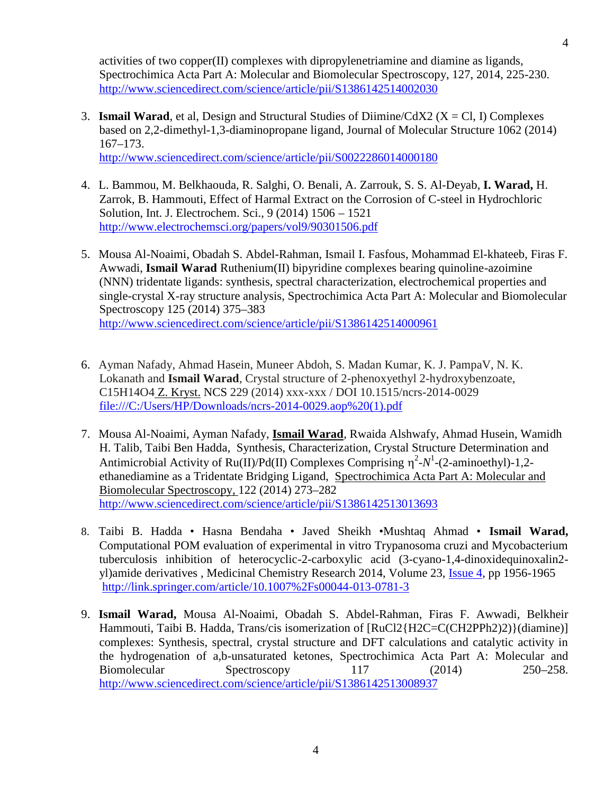activities of two copper(II) complexes with dipropylenetriamine and diamine as ligands, Spectrochimica Acta Part A: Molecular and Biomolecular Spectroscopy, 127, 2014, 225-230. http://www.sciencedirect.com/science/article/pii/S1386142514002030

3. **Ismail Warad**, et al, Design and Structural Studies of Diimine/CdX2 ( $X = Cl$ , I) Complexes based on 2,2-dimethyl-1,3-diaminopropane ligand, Journal of Molecular Structure 1062 (2014) 167–173.

http://www.sciencedirect.com/science/article/pii/S0022286014000180

- 4. L. Bammou, M. Belkhaouda, R. Salghi, O. Benali, A. Zarrouk, S. S. Al-Deyab, **I. Warad,** H. Zarrok, B. Hammouti, Effect of Harmal Extract on the Corrosion of C-steel in Hydrochloric Solution, Int. J. Electrochem. Sci., 9 (2014) 1506 – 1521 http://www.electrochemsci.org/papers/vol9/90301506.pdf
- 5. Mousa Al-Noaimi, Obadah S. Abdel-Rahman, Ismail I. Fasfous, Mohammad El-khateeb, Firas F. Awwadi, **Ismail Warad** Ruthenium(II) bipyridine complexes bearing quinoline-azoimine (NNN) tridentate ligands: synthesis, spectral characterization, electrochemical properties and single-crystal X-ray structure analysis, Spectrochimica Acta Part A: Molecular and Biomolecular Spectroscopy 125 (2014) 375–383 http://www.sciencedirect.com/science/article/pii/S1386142514000961
- 6. Ayman Nafady, Ahmad Hasein, Muneer Abdoh, S. Madan Kumar, K. J. PampaV, N. K. Lokanath and **Ismail Warad**, Crystal structure of 2-phenoxyethyl 2-hydroxybenzoate, C15H14O4 Z. Kryst. NCS 229 (2014) xxx-xxx / DOI 10.1515/ncrs-2014-0029 file:///C:/Users/HP/Downloads/ncrs-2014-0029.aop%20(1).pdf
- 7. Mousa Al-Noaimi, Ayman Nafady, **Ismail Warad**, Rwaida Alshwafy, Ahmad Husein, Wamidh H. Talib, Taibi Ben Hadda, Synthesis, Characterization, Crystal Structure Determination and Antimicrobial Activity of Ru( )/Pd(II) Complexes Comprising  $\eta^2$ -N<sup>1</sup>-(2-aminoethyl)-1,2ethanediamine as a Tridentate Bridging Ligand, Spectrochimica Acta Part A: Molecular and Biomolecular Spectroscopy, 122 (2014) 273–282 http://www.sciencedirect.com/science/article/pii/S1386142513013693
- 8. Taibi B. Hadda Hasna Bendaha Javed Sheikh •Mushtaq Ahmad **Ismail Warad,** Computational POM evaluation of experimental in vitro Trypanosoma cruzi and Mycobacterium tuberculosis inhibition of heterocyclic-2-carboxylic acid (3-cyano-1,4-dinoxidequinoxalin2 yl)amide derivatives , Medicinal Chemistry Research 2014, Volume 23, Issue 4, pp 1956-1965 http://link.springer.com/article/10.1007%2Fs00044-013-0781-3
- 9. **Ismail Warad,** Mousa Al-Noaimi, Obadah S. Abdel-Rahman, Firas F. Awwadi, Belkheir Hammouti, Taibi B. Hadda, Trans/cis isomerization of  $[RuCl2{H2C=C(CH2PPh2)2}$ }(diamine)] complexes: Synthesis, spectral, crystal structure and DFT calculations and catalytic activity in the hydrogenation of a,b-unsaturated ketones, Spectrochimica Acta Part A: Molecular and Biomolecular Spectroscopy 117 (2014) 250–258. http://www.sciencedirect.com/science/article/pii/S1386142513008937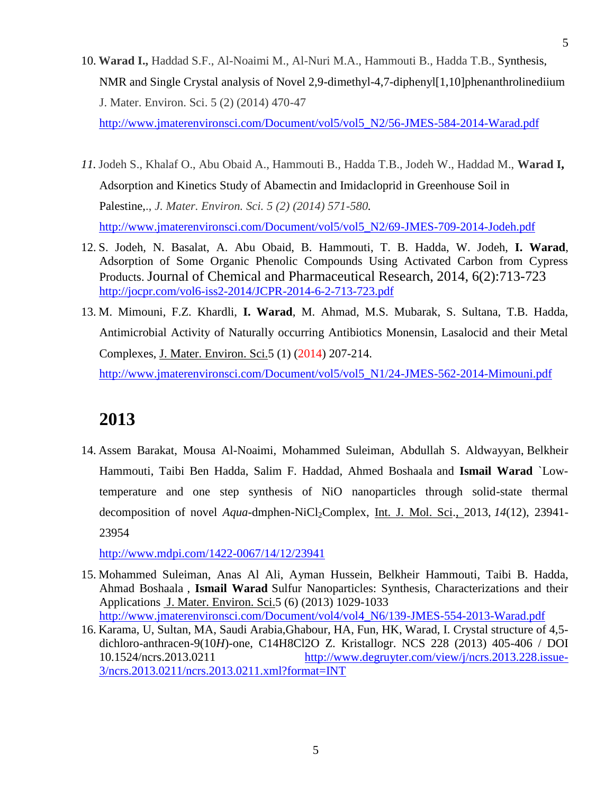- 10. **Warad I.,** Haddad S.F., Al-Noaimi M., Al-Nuri M.A., Hammouti B., Hadda T.B., Synthesis, NMR and Single Crystal analysis of Novel 2,9-dimethyl-4,7-diphenyl[1,10]phenanthrolinediium J. Mater. Environ. Sci. 5 (2) (2014) 470-47 http://www.jmaterenvironsci.com/Document/vol5/vol5\_N2/56-JMES-584-2014-Warad.pdf
- *11.* Jodeh S., Khalaf O., Abu Obaid A., Hammouti B., Hadda T.B., Jodeh W., Haddad M., **Warad I,** Adsorption and Kinetics Study of Abamectin and Imidacloprid in Greenhouse Soil in Palestine,., *J. Mater. Environ. Sci. 5 (2) (2014) 571-580.* http://www.jmaterenvironsci.com/Document/vol5/vol5\_N2/69-JMES-709-2014-Jodeh.pdf
- 12. S. Jodeh, N. Basalat, A. Abu Obaid, B. Hammouti, T. B. Hadda, W. Jodeh, **I. Warad**, Adsorption of Some Organic Phenolic Compounds Using Activated Carbon from Cypress Products. Journal of Chemical and Pharmaceutical Research, 2014, 6(2):713-723 http://jocpr.com/vol6-iss2-2014/JCPR-2014-6-2-713-723.pdf
- 13. M. Mimouni, F.Z. Khardli, **I. Warad**, M. Ahmad, M.S. Mubarak, S. Sultana, T.B. Hadda, Antimicrobial Activity of Naturally occurring Antibiotics Monensin, Lasalocid and their Metal Complexes, J. Mater. Environ. Sci.5 (1) (2014) 207-214. http://www.jmaterenvironsci.com/Document/vol5/vol5\_N1/24-JMES-562-2014-Mimouni.pdf

14. Assem Barakat, Mousa Al-Noaimi, Mohammed Suleiman, Abdullah S. Aldwayyan, Belkheir Hammouti, Taibi Ben Hadda, Salim F. Haddad, Ahmed Boshaala and **Ismail Warad** `Lowtemperature and one step synthesis of NiO nanoparticles through solid-state thermal decomposition of novel *Aqua*-dmphen-NiCl<sub>2</sub>Complex, Int. J. Mol. Sci., 2013, 14(12), 23941-23954

http://www.mdpi.com/1422-0067/14/12/23941

- 15. Mohammed Suleiman, Anas Al Ali, Ayman Hussein, Belkheir Hammouti, Taibi B. Hadda, Ahmad Boshaala , **Ismail Warad** Sulfur Nanoparticles: Synthesis, Characterizations and their Applications J. Mater. Environ. Sci.5 (6) (2013) 1029-1033 http://www.jmaterenvironsci.com/Document/vol4/vol4\_N6/139-JMES-554-2013-Warad.pdf
- 16. Karama, U, Sultan, MA, Saudi Arabia,Ghabour, HA, Fun, HK, Warad, I. Crystal structure of 4,5 dichloro-anthracen-9(10*H*)-one, C14H8Cl2O Z. Kristallogr. NCS 228 (2013) 405-406 / DOI 10.1524/ncrs.2013.0211 http://www.degruyter.com/view/j/ncrs.2013.228.issue- 3/ncrs.2013.0211/ncrs.2013.0211.xml?format=INT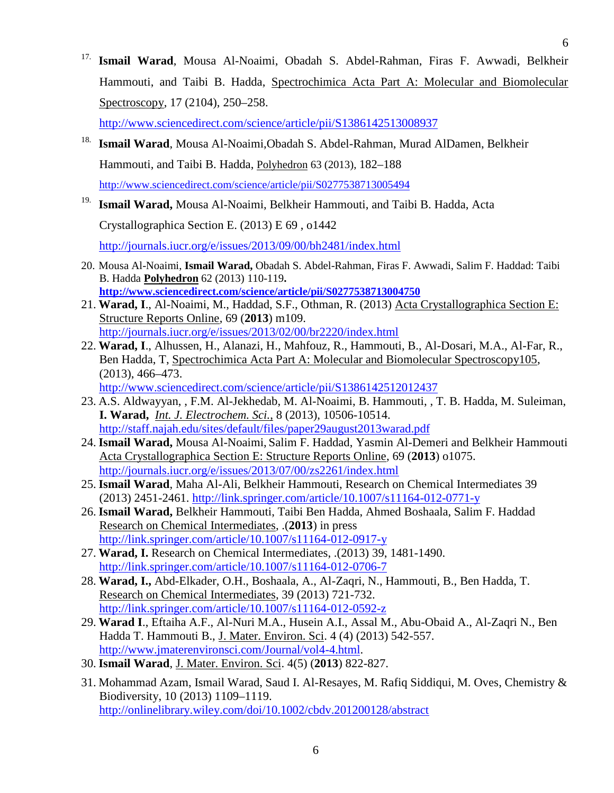<sup>17.</sup> Ismail Warad, Mousa Al-Noaimi, Obadah S. Abdel-Rahman, Firas F. Awwadi, Belkheir Hammouti, and Taibi B. Hadda, Spectrochimica Acta Part A: Molecular and Biomolecular Spectroscopy, 17 (2104), 250–258.

http://www.sciencedirect.com/science/article/pii/S1386142513008937

- 18. **Ismail Warad**, Mousa Al-Noaimi,Obadah S. Abdel-Rahman, Murad AlDamen, Belkheir Hammouti, and Taibi B. Hadda, Polyhedron 63 (2013), 182–188 http://www.sciencedirect.com/science/article/pii/S0277538713005494
- 19. **Ismail Warad,** Mousa Al-Noaimi, Belkheir Hammouti, and Taibi B. Hadda, Acta

Crystallographica Section E. (2013) E 69 , o1442

http://journals.iucr.org/e/issues/2013/09/00/bh2481/index.html

- 20. Mousa Al-Noaimi, **Ismail Warad,** Obadah S. Abdel-Rahman, Firas F. Awwadi, Salim F. Haddad: Taibi B. Hadda **Polyhedron** 62 (2013) 110-119**. http://www.sciencedirect.com/science/article/pii/S0277538713004750**
- 21. **Warad, I**., Al-Noaimi, M., Haddad, S.F., Othman, R. (2013) Acta Crystallographica Section E: Structure Reports Online, 69 (**2013**) m109. http://journals.iucr.org/e/issues/2013/02/00/br2220/index.html
- 22. **Warad, I**., Alhussen, H., Alanazi, H., Mahfouz, R., Hammouti, B., Al-Dosari, M.A., Al-Far, R., Ben Hadda, T, Spectrochimica Acta Part A: Molecular and Biomolecular Spectroscopy105, (2013), 466–473.

http://www.sciencedirect.com/science/article/pii/S1386142512012437

- 23. A.S. Aldwayyan, , F.M. Al-Jekhedab, M. Al-Noaimi, B. Hammouti, , T. B. Hadda, M. Suleiman, **I. Warad,** *Int. J. Electrochem. Sci.*, 8 (2013), 10506-10514. http://staff.najah.edu/sites/default/files/paper29august2013warad.pdf
- 24. **Ismail Warad,** Mousa Al-Noaimi, Salim F. Haddad, Yasmin Al-Demeri and Belkheir Hammouti Acta Crystallographica Section E: Structure Reports Online, 69 (**2013**) o1075. http://journals.iucr.org/e/issues/2013/07/00/zs2261/index.html
- 25. **Ismail Warad**, Maha Al-Ali, Belkheir Hammouti, Research on Chemical Intermediates 39 (2013) 2451-2461. http://link.springer.com/article/10.1007/s11164-012-0771-y
- 26. **Ismail Warad,** Belkheir Hammouti, Taibi Ben Hadda, Ahmed Boshaala, Salim F. Haddad Research on Chemical Intermediates, .(**2013**) in press http://link.springer.com/article/10.1007/s11164-012-0917-y
- 27. **Warad, I.** Research on Chemical Intermediates, .(2013) 39, 1481-1490. http://link.springer.com/article/10.1007/s11164-012-0706-7
- 28. **Warad, I.,** Abd-Elkader, O.H., Boshaala, A., Al-Zaqri, N., Hammouti, B., Ben Hadda, T. Research on Chemical Intermediates, 39 (2013) 721-732. http://link.springer.com/article/10.1007/s11164-012-0592-z
- 29. **Warad I**., Eftaiha A.F., Al-Nuri M.A., Husein A.I., Assal M., Abu-Obaid A., Al-Zaqri N., Ben Hadda T. Hammouti B., J. Mater. Environ. Sci. 4 (4) (2013) 542-557. http://www.jmaterenvironsci.com/Journal/vol4-4.html.
- 30. **Ismail Warad**, J. Mater. Environ. Sci. 4(5) (**2013**) 822-827.
- 31. Mohammad Azam, Ismail Warad, Saud I. Al-Resayes, M. Rafiq Siddiqui, M. Oves, Chemistry & Biodiversity, 10 (2013) 1109–1119. http://onlinelibrary.wiley.com/doi/10.1002/cbdv.201200128/abstract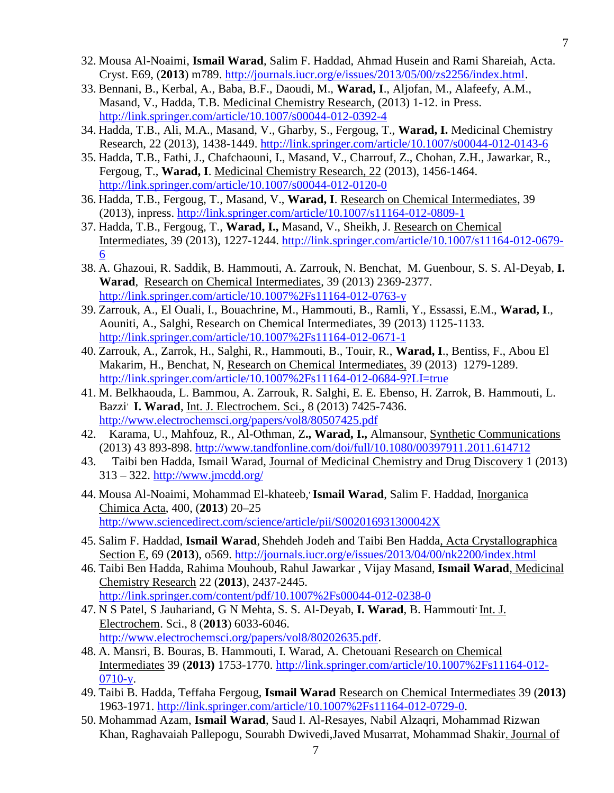- 32. Mousa Al-Noaimi, **Ismail Warad**, Salim F. Haddad, Ahmad Husein and Rami Shareiah, Acta. Cryst. E69, (**2013**) m789. http://journals.iucr.org/e/issues/2013/05/00/zs2256/index.html.
- 33. Bennani, B., Kerbal, A., Baba, B.F., Daoudi, M., **Warad, I**., Aljofan, M., Alafeefy, A.M., Masand, V., Hadda, T.B. Medicinal Chemistry Research, (2013) 1-12. in Press. http://link.springer.com/article/10.1007/s00044-012-0392-4
- 34. Hadda, T.B., Ali, M.A., Masand, V., Gharby, S., Fergoug, T., **Warad, I.** Medicinal Chemistry Research, 22 (2013), 1438-1449. http://link.springer.com/article/10.1007/s00044-012-0143-6
- 35. Hadda, T.B., Fathi, J., Chafchaouni, I., Masand, V., Charrouf, Z., Chohan, Z.H., Jawarkar, R., Fergoug, T., **Warad, I**. Medicinal Chemistry Research, 22 (2013), 1456-1464. http://link.springer.com/article/10.1007/s00044-012-0120-0
- 36. Hadda, T.B., Fergoug, T., Masand, V., **Warad, I**. Research on Chemical Intermediates, 39 (2013), inpress. http://link.springer.com/article/10.1007/s11164-012-0809-1
- 37. Hadda, T.B., Fergoug, T., **Warad, I.,** Masand, V., Sheikh, J. Research on Chemical Intermediates, 39 (2013), 1227-1244. http://link.springer.com/article/10.1007/s11164-012-0679- 6
- 38. A. Ghazoui, R. Saddik, B. Hammouti, A. Zarrouk, N. Benchat, M. Guenbour, S. S. Al-Deyab, **I. Warad**, Research on Chemical Intermediates, 39 (2013) 2369-2377. http://link.springer.com/article/10.1007%2Fs11164-012-0763-y
- 39. Zarrouk, A., El Ouali, I., Bouachrine, M., Hammouti, B., Ramli, Y., Essassi, E.M., **Warad, I**., Aouniti, A., Salghi, Research on Chemical Intermediates, 39 (2013) 1125-1133. http://link.springer.com/article/10.1007%2Fs11164-012-0671-1
- 40. Zarrouk, A., Zarrok, H., Salghi, R., Hammouti, B., Touir, R., **Warad, I**., Bentiss, F., Abou El Makarim, H., Benchat, N, Research on Chemical Intermediates, 39 (2013) 1279-1289. http://link.springer.com/article/10.1007%2Fs11164-012-0684-9?LI=true
- 41. M. Belkhaouda, L. Bammou, A. Zarrouk, R. Salghi, E. E. Ebenso, H. Zarrok, B. Hammouti, L. Bazzi, **I. Warad**, Int. J. Electrochem. Sci., 8 (2013) 7425-7436. http://www.electrochemsci.org/papers/vol8/80507425.pdf
- 42. Karama, U., Mahfouz, R., Al-Othman, Z**., Warad, I.,** Almansour, Synthetic Communications (2013) 43 893-898. http://www.tandfonline.com/doi/full/10.1080/00397911.2011.614712
- 43. Taibi ben Hadda, Ismail Warad, Journal of Medicinal Chemistry and Drug Discovery 1 (2013) 313 – 322. http://www.jmcdd.org/
- 44. Mousa Al-Noaimi, Mohammad El-khateeb, Ismail Warad, Salim F. Haddad, *Inorganica* Chimica Acta, 400, (**2013**) 20–25 http://www.sciencedirect.com/science/article/pii/S002016931300042X
- 45. Salim F. Haddad, **Ismail Warad**, Shehdeh Jodeh and Taibi Ben Hadda, Acta Crystallographica Section E, 69 (**2013**), o569. http://journals.iucr.org/e/issues/2013/04/00/nk2200/index.html
- 46. Taibi Ben Hadda, Rahima Mouhoub, Rahul Jawarkar , Vijay Masand, **Ismail Warad**, Medicinal Chemistry Research 22 (**2013**), 2437-2445. http://link.springer.com/content/pdf/10.1007%2Fs00044-012-0238-0
- 47. N S Patel, S Jauhariand, G N Mehta, S. S. Al-Deyab, **I. Warad**, B. Hammouti, Int. J. Electrochem. Sci., 8 (**2013**) 6033-6046. http://www.electrochemsci.org/papers/vol8/80202635.pdf.
- 48. A. Mansri, B. Bouras, B. Hammouti, I. Warad, A. Chetouani Research on Chemical Intermediates 39 (**2013)** 1753-1770. http://link.springer.com/article/10.1007%2Fs11164-012-  $0710-v.$
- 49. Taibi B. Hadda, Teffaha Fergoug, **Ismail Warad** Research on Chemical Intermediates 39 (**2013)** 1963-1971. http://link.springer.com/article/10.1007%2Fs11164-012-0729-0.
- 50. Mohammad Azam, **Ismail Warad**, Saud I. Al-Resayes, Nabil Alzaqri, Mohammad Rizwan Khan, Raghavaiah Pallepogu, Sourabh Dwivedi,Javed Musarrat, Mohammad Shakir. Journal of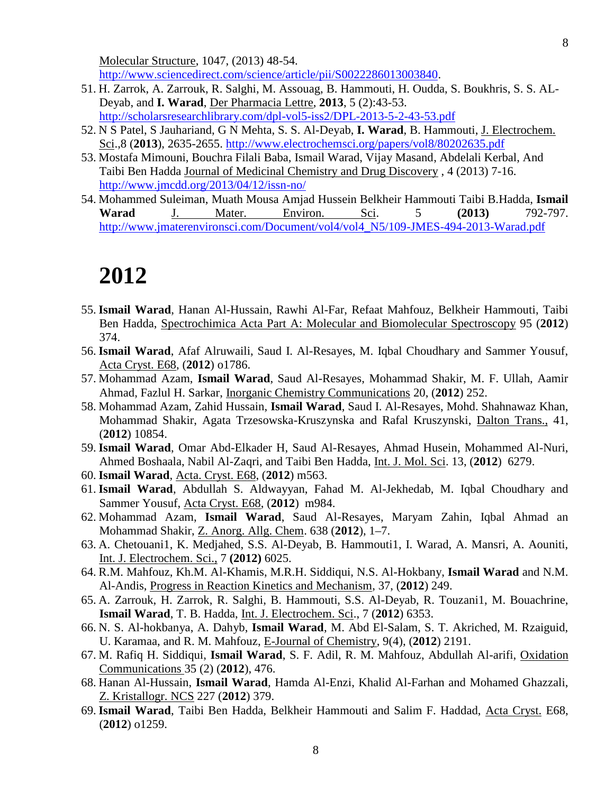Molecular Structure, 1047, (2013) 48-54. http://www.sciencedirect.com/science/article/pii/S0022286013003840.

- 51. H. Zarrok, A. Zarrouk, R. Salghi, M. Assouag, B. Hammouti, H. Oudda, S. Boukhris, S. S. AL- Deyab, and **I. Warad**, Der Pharmacia Lettre, **2013**, 5 (2):43-53. http://scholarsresearchlibrary.com/dpl-vol5-iss2/DPL-2013-5-2-43-53.pdf
- 52. N S Patel, S Jauhariand, G N Mehta, S. S. Al-Deyab, **I. Warad**, B. Hammouti, J. Electrochem. Sci.,8 (**2013**), 2635-2655. http://www.electrochemsci.org/papers/vol8/80202635.pdf
- 53. Mostafa Mimouni, Bouchra Filali Baba, Ismail Warad, Vijay Masand, Abdelali Kerbal, And Taibi Ben Hadda Journal of Medicinal Chemistry and Drug Discovery , 4 (2013) 7-16. http://www.jmcdd.org/2013/04/12/issn-no/
- 54. Mohammed Suleiman, Muath Mousa Amjad Hussein Belkheir Hammouti Taibi B.Hadda, **Ismail Warad** J. Mater. Environ. Sci. 5 **(2013)** 792-797. http://www.jmaterenvironsci.com/Document/vol4/vol4\_N5/109-JMES-494-2013-Warad.pdf

- 55. **Ismail Warad**, Hanan Al-Hussain, Rawhi Al-Far, Refaat Mahfouz, Belkheir Hammouti, Taibi Ben Hadda, Spectrochimica Acta Part A: Molecular and Biomolecular Spectroscopy 95 (**2012**) 374.
- 56. **Ismail Warad**, Afaf Alruwaili, Saud I. Al-Resayes, M. Iqbal Choudhary and Sammer Yousuf, Acta Cryst. E68, (**2012**) o1786.
- 57. Mohammad Azam, **Ismail Warad**, Saud Al-Resayes, Mohammad Shakir, M. F. Ullah, Aamir Ahmad, Fazlul H. Sarkar, Inorganic Chemistry Communications 20, (**2012**) 252.
- 58. Mohammad Azam, Zahid Hussain, **Ismail Warad**, Saud I. Al-Resayes, Mohd. Shahnawaz Khan, Mohammad Shakir, Agata Trzesowska-Kruszynska and Rafal Kruszynski, Dalton Trans., 41, (**2012**) 10854.
- 59. **Ismail Warad**, Omar Abd-Elkader H, Saud Al-Resayes, Ahmad Husein, Mohammed Al-Nuri, Ahmed Boshaala, Nabil Al-Zaqri, and Taibi Ben Hadda, Int. J. Mol. Sci. 13, (**2012**) 6279.
- 60. **Ismail Warad**, Acta. Cryst. E68, (**2012**) m563.
- 61. **Ismail Warad**, Abdullah S. Aldwayyan, Fahad M. Al-Jekhedab, M. Iqbal Choudhary and Sammer Yousuf, Acta Cryst. E68, (**2012**) m984.
- 62. Mohammad Azam, **Ismail Warad**, Saud Al-Resayes, Maryam Zahin, Iqbal Ahmad an Mohammad Shakir, Z. Anorg. Allg. Chem. 638 (**2012**), 1–7.
- 63. A. Chetouani1, K. Medjahed, S.S. Al-Deyab, B. Hammouti1, I. Warad, A. Mansri, A. Aouniti, Int. J. Electrochem. Sci., 7 **(2012)** 6025.
- 64. R.M. Mahfouz, Kh.M. Al-Khamis, M.R.H. Siddiqui, N.S. Al-Hokbany, **Ismail Warad** and N.M. Al-Andis, Progress in Reaction Kinetics and Mechanism, 37, (**2012**) 249.
- 65. A. Zarrouk, H. Zarrok, R. Salghi, B. Hammouti, S.S. Al-Deyab, R. Touzani1, M. Bouachrine, **Ismail Warad**, T. B. Hadda, Int. J. Electrochem. Sci., 7 (**2012**) 6353.
- 66. N. S. Al-hokbanya, A. Dahyb, **Ismail Warad**, M. Abd El-Salam, S. T. Akriched, M. Rzaiguid, U. Karamaa, and R. M. Mahfouz, E-Journal of Chemistry, 9(4), (**2012**) 2191.
- 67. M. Rafiq H. Siddiqui, **Ismail Warad**, S. F. Adil, R. M. Mahfouz, Abdullah Al-arifi, Oxidation Communications 35 (2) (**2012**), 476.
- 68. Hanan Al-Hussain, **Ismail Warad**, Hamda Al-Enzi, Khalid Al-Farhan and Mohamed Ghazzali, Z. Kristallogr. NCS 227 (**2012**) 379.
- 69. **Ismail Warad**, Taibi Ben Hadda, Belkheir Hammouti and Salim F. Haddad, Acta Cryst. E68, (**2012**) o1259.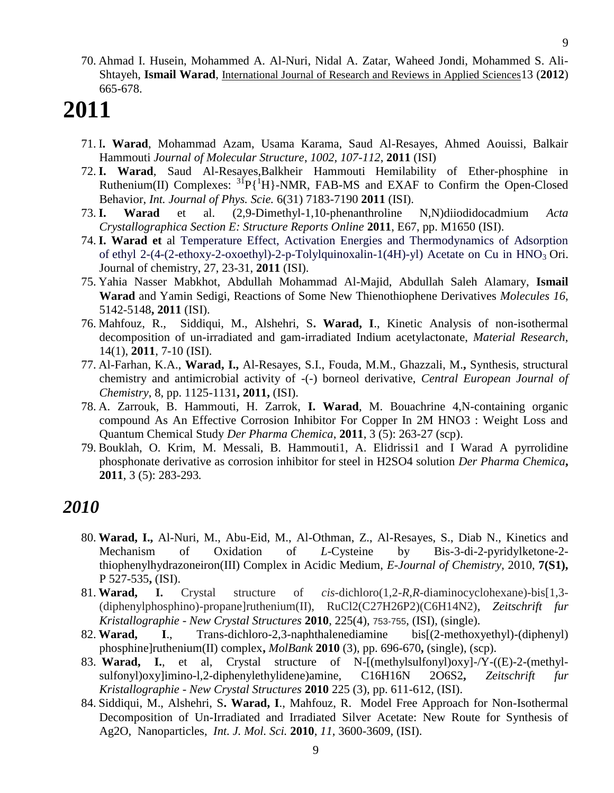70. Ahmad I. Husein, Mohammed A. Al-Nuri, Nidal A. Zatar, Waheed Jondi, Mohammed S. Ali- Shtayeh, **Ismail Warad**, International Journal of Research and Reviews in Applied Sciences13 (**2012**) 665-678.

# **2011**

- 71. I**. Warad**, Mohammad Azam, Usama Karama, Saud Al-Resayes, Ahmed Aouissi, Balkair Hammouti *Journal of Molecular Structure*, *1002, 107-112*, **2011** (ISI)
- 72. **I. Warad**, Saud Al-Resayes,Balkheir Hammouti Hemilability of Ether-phosphine in Ruthenium(II) Complexes:  ${}^{31}P\{{}^{1}H\}$ -NMR, FAB-MS and EXAF to Confirm the Open-Closed Behavior, *Int. Journal of Phys. Scie.* 6(31) 7183-7190 **2011** (ISI).
- 73. **I. Warad** et al. (2,9-Dimethyl-1,10-phenanthroline N,N)diiodidocadmium *Acta Crystallographica Section E: Structure Reports Online* **2011**, E67, pp. M1650 (ISI).
- 74. **I. Warad et** al Temperature Effect, Activation Energies and Thermodynamics of Adsorption of ethyl 2-(4-(2-ethoxy-2-oxoethyl)-2-p-Tolylquinoxalin-1(4H)-yl) Acetate on Cu in HNO<sub>3</sub> Ori. Journal of chemistry, 27, 23-31, **2011** (ISI).
- 75. Yahia Nasser Mabkhot, Abdullah Mohammad Al-Majid, Abdullah Saleh Alamary, **Ismail Warad** and Yamin Sedigi, Reactions of Some New Thienothiophene Derivatives *Molecules 16*, 5142-5148**, 2011** (ISI).
- 76. Mahfouz, R., Siddiqui, M., Alshehri, S**. Warad, I**., Kinetic Analysis of non-isothermal decomposition of un-irradiated and gam-irradiated Indium acetylactonate, *Material Research*, 14(1), **2011**, 7-10 (ISI).
- 77. Al-Farhan, K.A., **Warad, I.,** Al-Resayes, S.I., Fouda, M.M., Ghazzali, M.**,** Synthesis, structural chemistry and antimicrobial activity of -(-) borneol derivative, *Central European Journal of Chemistry*, 8, pp. 1125-1131**, 2011,** (ISI).
- 78. A. Zarrouk, B. Hammouti, H. Zarrok, **I. Warad**, M. Bouachrine 4,N-containing organic compound As An Effective Corrosion Inhibitor For Copper In 2M HNO3 : Weight Loss and Quantum Chemical Study *Der Pharma Chemica*, **2011**, 3 (5): 263-27 (scp).
- 79. Bouklah, O. Krim, M. Messali, B. Hammouti1, A. Elidrissi1 and I Warad A pyrrolidine phosphonate derivative as corrosion inhibitor for steel in H2SO4 solution *Der Pharma Chemica***, 2011**, 3 (5): 283-293*.*

- 80. **Warad, I.,** Al-Nuri, M., Abu-Eid, M., Al-Othman, Z., Al-Resayes, S., Diab N., Kinetics and Mechanism of Oxidation of *L*-Cysteine by Bis-3-di-2-pyridylketone-2 thiophenylhydrazoneiron(III) Complex in Acidic Medium, *E-Journal of Chemistry*, 2010, **7(S1),** P 527-535**,** (ISI).
- 81. **Warad, I.** Crystal structure of *cis*-dichloro(1,2-*R*,*R*-diaminocyclohexane)-bis[1,3- (diphenylphosphino)-propane]ruthenium(II), RuCl2(C27H26P2)(C6H14N2), *Zeitschrift fur Kristallographie - New Crystal Structures* **2010**, 225(4), 753-755, (ISI), (single).
- 82. **Warad, I**., Trans-dichloro-2,3-naphthalenediamine bis[(2-methoxyethyl)-(diphenyl) phosphine]ruthenium(II) complex**,** *MolBank* **2010** (3), pp. 696-670**,** (single), (scp).
- 83. **Warad, I.**, et al, Crystal structure of N-[(methylsulfonyl)oxy]-/Y-((E)-2-(methyl sulfonyl)oxy]imino-l,2-diphenylethylidene)amine, C16H16N 2O6S2**,** *Zeitschrift fur Kristallographie - New Crystal Structures* **2010** 225 (3), pp. 611-612, (ISI).
- 84. Siddiqui, M., Alshehri, S**. Warad, I**., Mahfouz, R. Model Free Approach for Non-Isothermal Decomposition of Un-Irradiated and Irradiated Silver Acetate: New Route for Synthesis of Ag2O, Nanoparticles, *Int. J. Mol. Sci.* **2010**, *11*, 3600-3609, (ISI).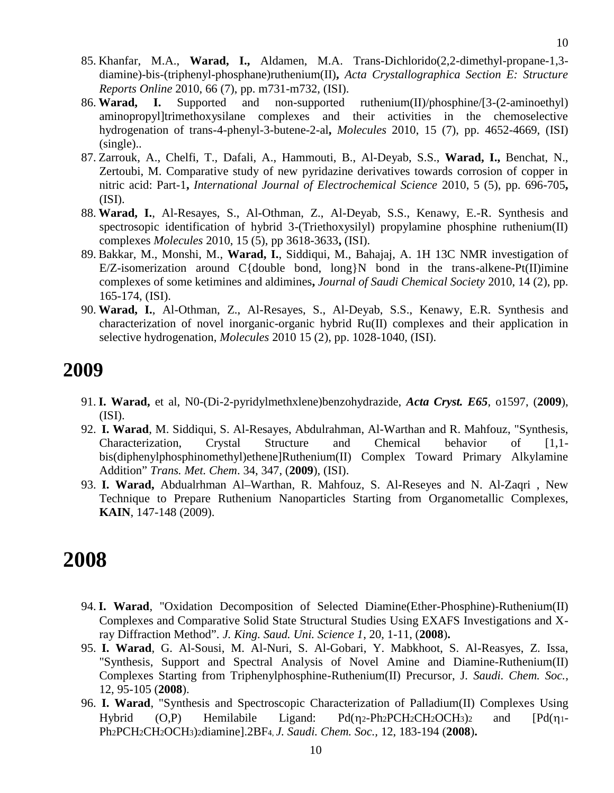- 85. Khanfar, M.A., **Warad, I.,** Aldamen, M.A. Trans-Dichlorido(2,2-dimethyl-propane-1,3 diamine)-bis-(triphenyl-phosphane)ruthenium(II)**,** *Acta Crystallographica Section E: Structure Reports Online* 2010, 66 (7), pp. m731-m732, (ISI).
- 86. **Warad, I.** Supported and non-supported ruthenium(II)/phosphine/[3-(2-aminoethyl) aminopropyl]trimethoxysilane complexes and their activities in the chemoselective hydrogenation of trans-4-phenyl-3-butene-2-al**,** *Molecules* 2010, 15 (7), pp. 4652-4669, (ISI) (single)..
- 87. Zarrouk, A., Chelfi, T., Dafali, A., Hammouti, B., Al-Deyab, S.S., **Warad, I.,** Benchat, N., Zertoubi, M. Comparative study of new pyridazine derivatives towards corrosion of copper in nitric acid: Part-1**,** *International Journal of Electrochemical Science* 2010, 5 (5), pp. 696-705**,** (ISI).
- 88. **Warad, I.**, Al-Resayes, S., Al-Othman, Z., Al-Deyab, S.S., Kenawy, E.-R. Synthesis and spectrosopic identification of hybrid 3-(Triethoxysilyl) propylamine phosphine ruthenium(II) complexes *Molecules* 2010, 15 (5), pp 3618-3633**,** (ISI).
- 89. Bakkar, M., Monshi, M., **Warad, I.**, Siddiqui, M., Bahajaj, A. 1H 13C NMR investigation of E/Z-isomerization around  $C$ {double bond, long}N bond in the trans-alkene-Pt(II)imine complexes of some ketimines and aldimines**,** *Journal of Saudi Chemical Society* 2010, 14 (2), pp. 165-174, (ISI).
- 90. **Warad, I.**, Al-Othman, Z., Al-Resayes, S., Al-Deyab, S.S., Kenawy, E.R. Synthesis and characterization of novel inorganic-organic hybrid Ru(II) complexes and their application in selective hydrogenation, *Molecules* 2010 15 (2), pp. 1028-1040, (ISI).

- 91. **I. Warad,** et al, N0-(Di-2-pyridylmethxlene)benzohydrazide, *Acta Cryst. E65*, o1597, (**2009**), (ISI).
- 92. **I. Warad**, M. Siddiqui, S. Al-Resayes, Abdulrahman, Al-Warthan and R. Mahfouz, "Synthesis, Characterization, Crystal Structure and Chemical behavior of [1,1 bis(diphenylphosphinomethyl)ethene]Ruthenium(II) Complex Toward Primary Alkylamine Addition" *Trans. Met. Chem*. 34, 347, (**2009**), (ISI).
- 93. **I. Warad,** Abdualrhman Al–Warthan, R. Mahfouz, S. Al-Reseyes and N. Al-Zaqri , New Technique to Prepare Ruthenium Nanoparticles Starting from Organometallic Complexes, **KAIN**, 147-148 (2009).

- 94. **I. Warad**, "Oxidation Decomposition of Selected Diamine(Ether-Phosphine)-Ruthenium(II) Complexes and Comparative Solid State Structural Studies Using EXAFS Investigations and Xray Diffraction Method". *J. King. Saud. Uni. Science 1*, 20, 1-11, (**2008**)**.**
- 95. **I. Warad**, G. Al-Sousi, M. Al-Nuri, S. Al-Gobari, Y. Mabkhoot, S. Al-Reasyes, Z. Issa, "Synthesis, Support and Spectral Analysis of Novel Amine and Diamine-Ruthenium(II) Complexes Starting from Triphenylphosphine-Ruthenium(II) Precursor, J*. Saudi. Chem. Soc.*, 12, 95-105 (**2008**).
- 96. **I. Warad**, "Synthesis and Spectroscopic Characterization of Palladium(II) Complexes Using Hybrid  $(O,P)$  Hemilabile Ligand:  $Pd(\eta_2-Ph_2PCH_2CH_2OCH_3)$  and  $Pd(\eta_1-Ph_2PCH_2CH_2OCH_3)$ Ph2PCH2CH2OCH3)2diamine].2BF4, *J. Saudi. Chem. Soc.,* 12, 183-194 (**2008**)**.**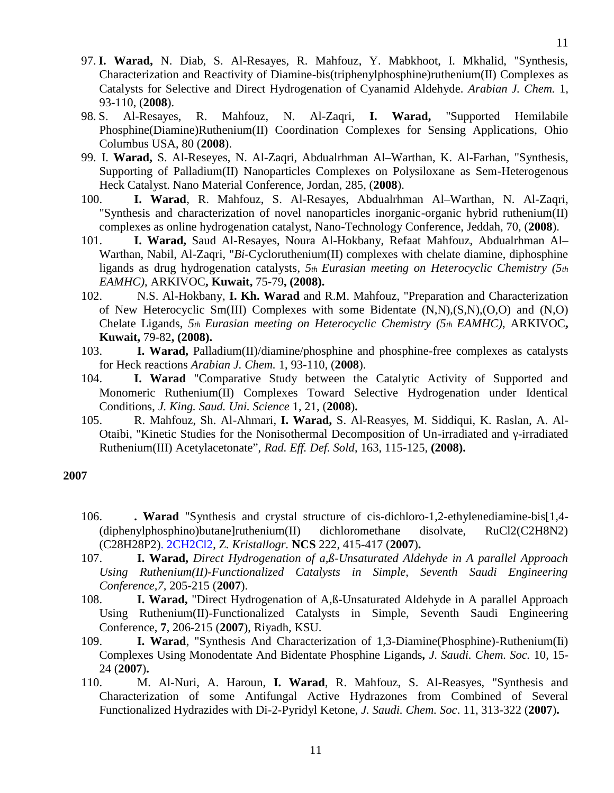- 97. **I. Warad,** N. Diab, S. Al-Resayes, R. Mahfouz, Y. Mabkhoot, I. Mkhalid, "Synthesis, Characterization and Reactivity of Diamine-bis(triphenylphosphine)ruthenium(II) Complexes as Catalysts for Selective and Direct Hydrogenation of Cyanamid Aldehyde. *Arabian J. Chem.* 1, 93-110, (**2008**).
- 98. S. Al-Resayes, R. Mahfouz, N. Al-Zaqri, **I. Warad,** "Supported Hemilabile Phosphine(Diamine)Ruthenium(II) Coordination Complexes for Sensing Applications, Ohio Columbus USA, 80 (**2008**).
- 99. I. **Warad,** S. Al-Reseyes, N. Al-Zaqri, Abdualrhman Al–Warthan, K. Al-Farhan, "Synthesis, Supporting of Palladium(II) Nanoparticles Complexes on Polysiloxane as Sem-Heterogenous Heck Catalyst. Nano Material Conference, Jordan, 285, (**2008**).
- 100. **I. Warad**, R. Mahfouz, S. Al-Resayes, Abdualrhman Al–Warthan, N. Al-Zaqri, "Synthesis and characterization of novel nanoparticles inorganic-organic hybrid ruthenium(II) complexes as online hydrogenation catalyst, Nano-Technology Conference, Jeddah, 70, (**2008**).
- 101. **I. Warad,** Saud Al-Resayes, Noura Al-Hokbany, Refaat Mahfouz, Abdualrhman Al– Warthan, Nabil, Al-Zaqri, "*Bi*-Cycloruthenium(II) complexes with chelate diamine, diphosphine ligands as drug hydrogenation catalysts, *5th Eurasian meeting on Heterocyclic Chemistry (5th EAMHC)*, ARKIVOC**, Kuwait,** 75-79**, (2008).**
- 102. N.S. Al-Hokbany, **I. Kh. Warad** and R.M. Mahfouz, "Preparation and Characterization of New Heterocyclic Sm(III) Complexes with some Bidentate  $(N, N), (S, N), (O, O)$  and  $(N, O)$ Chelate Ligands, *5th Eurasian meeting on Heterocyclic Chemistry (5th EAMHC)*, ARKIVOC**, Kuwait,** 79-82**, (2008).**
- 103. **I. Warad,** Palladium(II)/diamine/phosphine and phosphine-free complexes as catalysts for Heck reactions *Arabian J. Chem.* 1, 93-110, (**2008**).
- 104. **I. Warad** "Comparative Study between the Catalytic Activity of Supported and Monomeric Ruthenium(II) Complexes Toward Selective Hydrogenation under Identical Conditions, *J. King. Saud. Uni. Science* 1, 21, (**2008**)**.**
- 105. R. Mahfouz, Sh. Al-Ahmari, **I. Warad,** S. Al-Reasyes, M. Siddiqui, K. Raslan, A. Al- Otaibi, "Kinetic Studies for the Nonisothermal Decomposition of Un-irradiated and -irradiated Ruthenium(III) Acetylacetonate", *Rad. Eff. Def. Sold*, 163, 115-125, **(2008).**

- 106. **. Warad** "Synthesis and crystal structure of cis-dichloro-1,2-ethylenediamine-bis[1,4- (diphenylphosphino)butane]ruthenium(II) dichloromethane disolvate, RuCl2(C2H8N2) (C28H28P2). 2CH2Cl2, Z*. Kristallogr.* **NCS** 222, 415-417 (**2007**)**.**
- 107. **I. Warad,** *Direct Hydrogenation of a,ß-Unsaturated Aldehyde in A parallel Approach Using Ruthenium(II)-Functionalized Catalysts in Simple, Seventh Saudi Engineering Conference,7,* 205-215 (**2007**).
- 108. **I. Warad,** "Direct Hydrogenation of A,ß-Unsaturated Aldehyde in A parallel Approach Using Ruthenium(II)-Functionalized Catalysts in Simple, Seventh Saudi Engineering Conference, **7**, 206-215 (**2007**), Riyadh, KSU.
- 109. **I. Warad**, "Synthesis And Characterization of 1,3-Diamine(Phosphine)-Ruthenium(Ii) Complexes Using Monodentate And Bidentate Phosphine Ligands*, J. Saudi. Chem. Soc.* 10, 15- 24 (**2007**)**.**
- 110. M. Al-Nuri, A. Haroun, **I. Warad**, R. Mahfouz, S. Al-Reasyes, "Synthesis and Characterization of some Antifungal Active Hydrazones from Combined of Several Functionalized Hydrazides with Di-2-Pyridyl Ketone, *J. Saudi. Chem. Soc*. 11, 313-322 (**2007**)**.**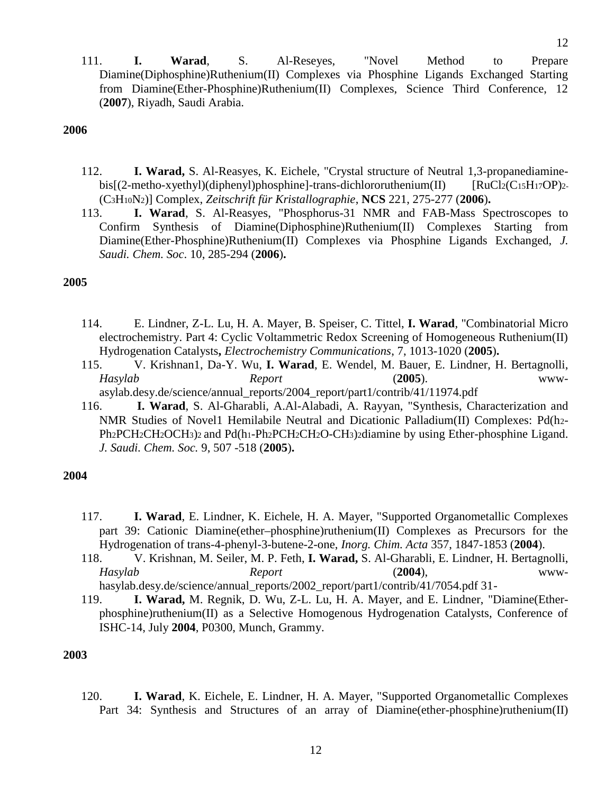111. **I. Warad**, S. Al-Reseyes, "Novel Method to Prepare Diamine(Diphosphine)Ruthenium(II) Complexes via Phosphine Ligands Exchanged Starting from Diamine(Ether-Phosphine)Ruthenium(II) Complexes, Science Third Conference, 12 (**2007**), Riyadh, Saudi Arabia.

#### **2006**

- 112. **I. Warad,** S. Al-Reasyes, K. Eichele, "Crystal structure of Neutral 1,3-propanediamine bis[(2-metho-xyethyl)(diphenyl)phosphine]-trans-dichlororuthenium(II) [RuCl2(C15H17OP)2-(C3H10N2)] Complex, *Zeitschrift für Kristallographie*, **NCS** 221, 275-277 (**2006**)**.**
- 113. **I. Warad**, S. Al-Reasyes, "Phosphorus-31 NMR and FAB-Mass Spectroscopes to Confirm Synthesis of Diamine(Diphosphine)Ruthenium(II) Complexes Starting from Diamine(Ether-Phosphine)Ruthenium(II) Complexes via Phosphine Ligands Exchanged, *J. Saudi. Chem. Soc*. 10, 285-294 (**2006**)**.**

#### **2005**

- 114. E. Lindner, Z-L. Lu, H. A. Mayer, B. Speiser, C. Tittel, **I. Warad**, "Combinatorial Micro electrochemistry. Part 4: Cyclic Voltammetric Redox Screening of Homogeneous Ruthenium(II) Hydrogenation Catalysts**,** *Electrochemistry Communications*, 7, 1013-1020 (**2005**)**.**
- 115. V. Krishnan1, Da-Y. Wu, **I. Warad**, E. Wendel, M. Bauer, E. Lindner, H. Bertagnolli, *Hasylab Report* (**2005**). www-

asylab.desy.de/science/annual\_reports/2004\_report/part1/contrib/41/11974.pdf

116. **I. Warad**, S. Al-Gharabli, A.Al-Alabadi, A. Rayyan, "Synthesis, Characterization and NMR Studies of Novel1 Hemilabile Neutral and Dicationic Palladium(II) Complexes: Pd(h2- Ph<sub>2</sub>PCH<sub>2</sub>CH<sub>2</sub>OCH<sub>3</sub>)<sub>2</sub> and Pd(h<sub>1</sub>-Ph<sub>2</sub>PCH<sub>2</sub>CH<sub>2</sub>O-CH<sub>3</sub>)<sub>2</sub>diamine by using Ether-phosphine Ligand. *J. Saudi. Chem. Soc.* 9, 507 -518 (**2005**)**.**

#### **2004**

- 117. **I. Warad**, E. Lindner, K. Eichele, H. A. Mayer, "Supported Organometallic Complexes part 39: Cationic Diamine(ether–phosphine)ruthenium(II) Complexes as Precursors for the Hydrogenation of trans-4-phenyl-3-butene-2-one, *Inorg. Chim. Acta* 357, 1847-1853 (**2004**).
- 118. V. Krishnan, M. Seiler, M. P. Feth, **I. Warad,** S. Al-Gharabli, E. Lindner, H. Bertagnolli, *Hasylab Report* (**2004**), www hasylab.desy.de/science/annual\_reports/2002\_report/part1/contrib/41/7054.pdf 31-
- 119. **I. Warad,** M. Regnik, D. Wu, Z-L. Lu, H. A. Mayer, and E. Lindner, "Diamine(Ether phosphine)ruthenium(II) as a Selective Homogenous Hydrogenation Catalysts, Conference of ISHC-14, July **2004**, P0300, Munch, Grammy.

#### **2003**

120. **I. Warad**, K. Eichele, E. Lindner, H. A. Mayer, "Supported Organometallic Complexes Part 34: Synthesis and Structures of an array of Diamine(ether-phosphine)ruthenium(II)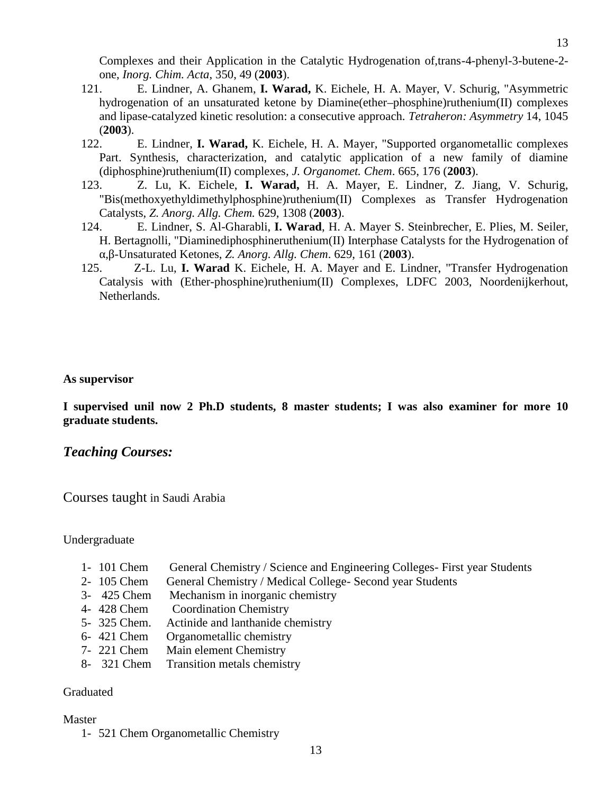- 121. E. Lindner, A. Ghanem, **I. Warad,** K. Eichele, H. A. Mayer, V. Schurig, "Asymmetric hydrogenation of an unsaturated ketone by Diamine(ether–phosphine)ruthenium(II) complexes and lipase-catalyzed kinetic resolution: a consecutive approach. *Tetraheron: Asymmetry* 14, 1045 (**2003**).
- 122. E. Lindner, **I. Warad,** K. Eichele, H. A. Mayer, "Supported organometallic complexes Part. Synthesis, characterization, and catalytic application of a new family of diamine (diphosphine)ruthenium(II) complexes*, J. Organomet. Chem*. 665, 176 (**2003**).
- 123. Z. Lu, K. Eichele, **I. Warad,** H. A. Mayer, E. Lindner, Z. Jiang, V. Schurig, "Bis(methoxyethyldimethylphosphine)ruthenium(II) Complexes as Transfer Hydrogenation Catalysts, *Z. Anorg. Allg. Chem.* 629, 1308 (**2003**).
- 124. E. Lindner, S. Al-Gharabli, **I. Warad**, H. A. Mayer S. Steinbrecher, E. Plies, M. Seiler, H. Bertagnolli, "Diaminediphosphineruthenium(II) Interphase Catalysts for the Hydrogenation of α,β-Unsaturated Ketones, *Z. Anorg. Allg. Chem*. 629, 161 (**2003**).
- 125. Z-L. Lu, **I. Warad** K. Eichele, H. A. Mayer and E. Lindner, "Transfer Hydrogenation Catalysis with (Ether-phosphine)ruthenium(II) Complexes, LDFC 2003, Noordenijkerhout, Netherlands.**,**

#### **As supervisor**

**I supervised unil now 2 Ph.D students, 8 master students; I was also examiner for more 10 graduate students.**

#### *Teaching Courses:*

Courses taught in Saudi Arabia

Undergraduate

- 1- 101 Chem General Chemistry / Science and Engineering Colleges- First year Students
- 2- 105 Chem General Chemistry / Medical College- Second year Students
- 3- 425 Chem Mechanism in inorganic chemistry
- 4- 428 Chem Coordination Chemistry
- 5- 325 Chem. Actinide and lanthanide chemistry
- 6- 421 Chem Organometallic chemistry
- 7- 221 Chem Main element Chemistry
- 8- 321 Chem Transition metals chemistry

#### Graduated

#### Master

1- 521 Chem Organometallic Chemistry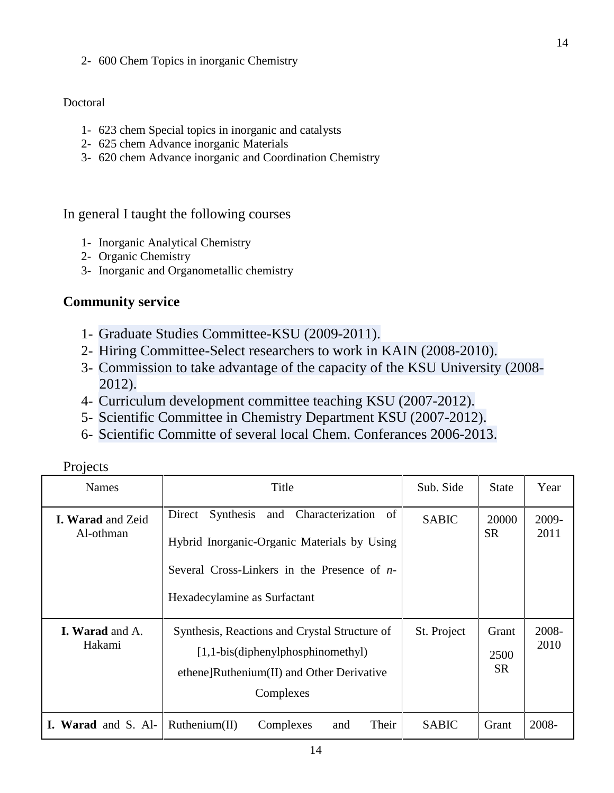2- 600 Chem Topics in inorganic Chemistry

### Doctoral

- 1- 623 chem Special topics in inorganic and catalysts
- 2- 625 chem Advance inorganic Materials
- 3- 620 chem Advance inorganic and Coordination Chemistry

## In general I taught the following courses

- 1- Inorganic Analytical Chemistry
- 2- Organic Chemistry
- 3- Inorganic and Organometallic chemistry

## **Community service**

- 1- Graduate Studies Committee-KSU (2009-2011).
- 2- Hiring Committee-Select researchers to work in KAIN (2008-2010).
- 3- Commission to take advantage of the capacity of the KSU University (2008- 2012).
- 4- Curriculum development committee teaching KSU (2007-2012).
- 5- Scientific Committee in Chemistry Department KSU (2007-2012).
- 6- Scientific Committe of several local Chem. Conferances 2006-2013.

| Projects |  |
|----------|--|
|          |  |

| <b>Names</b>                          | Title                                                                                                                                                                       | Sub. Side    | <b>State</b>               | Year          |
|---------------------------------------|-----------------------------------------------------------------------------------------------------------------------------------------------------------------------------|--------------|----------------------------|---------------|
| <b>I. Warad and Zeid</b><br>Al-othman | Synthesis and Characterization of<br>Direct<br>Hybrid Inorganic-Organic Materials by Using<br>Several Cross-Linkers in the Presence of $n-$<br>Hexadecylamine as Surfactant | <b>SABIC</b> | 20000<br><b>SR</b>         | 2009-<br>2011 |
| <b>I. Warad and A.</b><br>Hakami      | Synthesis, Reactions and Crystal Structure of<br>$[1,1-bis$ (diphenylphosphinomethyl)<br>ethene]Ruthenium(II) and Other Derivative<br>Complexes                             | St. Project  | Grant<br>2500<br><b>SR</b> | 2008-<br>2010 |
| Warad and S. Al-                      | Their<br>Ruthenium(II)<br>Complexes<br>and                                                                                                                                  | <b>SABIC</b> | Grant                      | 2008-         |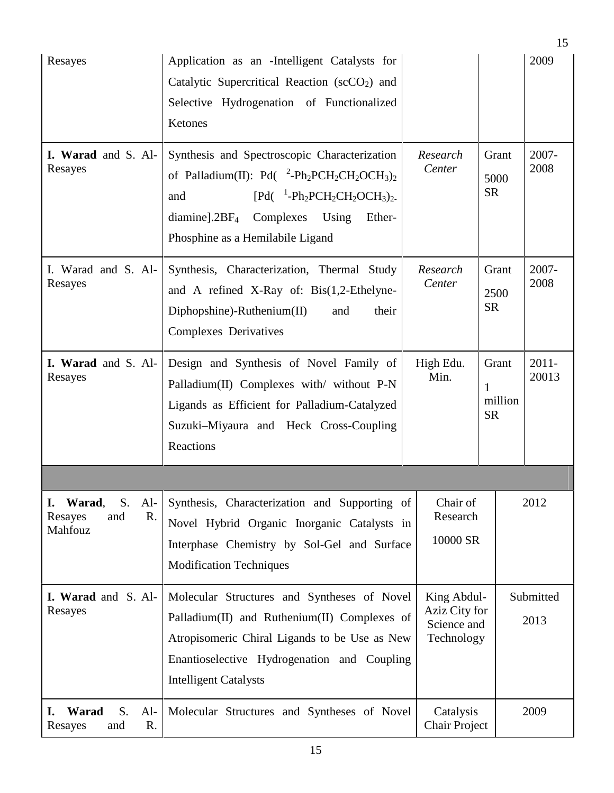|                                                                |                                                                                                                                                                                                                                                                                                                                                                               |                                                           |                                    | 15                |  |
|----------------------------------------------------------------|-------------------------------------------------------------------------------------------------------------------------------------------------------------------------------------------------------------------------------------------------------------------------------------------------------------------------------------------------------------------------------|-----------------------------------------------------------|------------------------------------|-------------------|--|
| Resayes                                                        | Application as an -Intelligent Catalysts for<br>Catalytic Supercritical Reaction ( $\sec O_2$ ) and<br>Selective Hydrogenation of Functionalized<br>Ketones                                                                                                                                                                                                                   |                                                           |                                    | 2009              |  |
| I. Warad and S. Al-<br>Resayes                                 | Synthesis and Spectroscopic Characterization<br>of Palladium(II): Pd( $^{2}$ -Ph <sub>2</sub> PCH <sub>2</sub> CH <sub>2</sub> OCH <sub>3</sub> ) <sub>2</sub><br>$[Pd($ <sup>1</sup> -Ph <sub>2</sub> PCH <sub>2</sub> CH <sub>2</sub> OCH <sub>3</sub> ) <sub>2-</sub><br>and<br>$diamine$ ].2BF <sub>4</sub> Complexes Using<br>Ether-<br>Phosphine as a Hemilabile Ligand | Research<br>Center                                        | Grant<br>5000<br><b>SR</b>         | 2007-<br>2008     |  |
| I. Warad and S. Al-<br>Resayes                                 | Synthesis, Characterization, Thermal Study<br>and A refined X-Ray of: Bis(1,2-Ethelyne-<br>$Diphopshine)$ -Ruthenium $(II)$<br>and<br>their<br>Complexes Derivatives                                                                                                                                                                                                          | Research<br>Center                                        | Grant<br>2500<br><b>SR</b>         | 2007-<br>2008     |  |
| I. Warad and S. Al-<br>Resayes                                 | Design and Synthesis of Novel Family of<br>Palladium(II) Complexes with/ without P-N<br>Ligands as Efficient for Palladium-Catalyzed<br>Suzuki-Miyaura and Heck Cross-Coupling<br>Reactions                                                                                                                                                                                   | High Edu.<br>Min.                                         | Grant<br>1<br>million<br><b>SR</b> | $2011 -$<br>20013 |  |
|                                                                |                                                                                                                                                                                                                                                                                                                                                                               |                                                           |                                    |                   |  |
| Warad,<br>S.<br>$Al-$<br>I.<br>R.<br>and<br>Resayes<br>Mahfouz | Synthesis, Characterization and Supporting of<br>Novel Hybrid Organic Inorganic Catalysts in<br>Interphase Chemistry by Sol-Gel and Surface<br><b>Modification Techniques</b>                                                                                                                                                                                                 | Chair of<br>Research<br>10000 SR                          | 2012                               |                   |  |
| I. Warad and S. Al-<br>Resayes                                 | Molecular Structures and Syntheses of Novel<br>Palladium(II) and Ruthenium(II) Complexes of<br>Atropisomeric Chiral Ligands to be Use as New<br>Enantioselective Hydrogenation and Coupling<br><b>Intelligent Catalysts</b>                                                                                                                                                   | King Abdul-<br>Aziz City for<br>Science and<br>Technology |                                    | Submitted<br>2013 |  |
| Warad<br>S.<br>$Al-$<br>I.<br>R.<br>Resayes<br>and             | Molecular Structures and Syntheses of Novel                                                                                                                                                                                                                                                                                                                                   | Catalysis<br><b>Chair Project</b>                         |                                    | 2009              |  |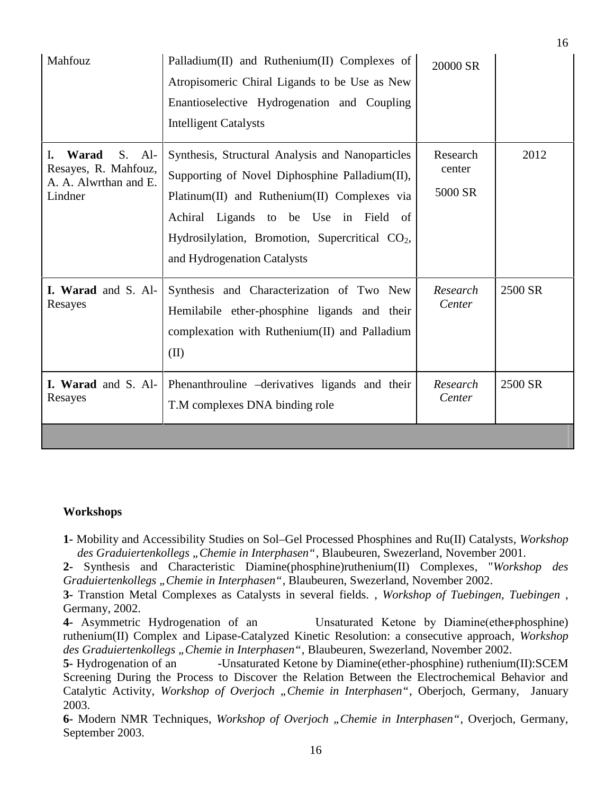| Mahfouz                                                                                | Palladium(II) and Ruthenium(II) Complexes of<br>Atropisomeric Chiral Ligands to be Use as New<br>Enantioselective Hydrogenation and Coupling<br><b>Intelligent Catalysts</b>                                                                                                              | 20000 SR                      |         |
|----------------------------------------------------------------------------------------|-------------------------------------------------------------------------------------------------------------------------------------------------------------------------------------------------------------------------------------------------------------------------------------------|-------------------------------|---------|
| Warad<br>$Al-$<br>I.<br>S.<br>Resayes, R. Mahfouz,<br>A. A. Alwrthan and E.<br>Lindner | Synthesis, Structural Analysis and Nanoparticles<br>Supporting of Novel Diphosphine Palladium(II),<br>Platinum(II) and Ruthenium(II) Complexes via<br>Achiral Ligands to be Use in Field of<br>Hydrosilylation, Bromotion, Supercritical CO <sub>2</sub> ,<br>and Hydrogenation Catalysts | Research<br>center<br>5000 SR | 2012    |
| I. Warad and S. Al-<br>Resayes                                                         | Synthesis and Characterization of Two New<br>Hemilabile ether-phosphine ligands and their<br>complexation with Ruthenium(II) and Palladium<br>(II)                                                                                                                                        | Research<br>Center            | 2500 SR |
| I. Warad and S. Al-<br>Resayes                                                         | Phenanthrouline -derivatives ligands and their<br>T.M complexes DNA binding role                                                                                                                                                                                                          | Research<br>Center            | 2500 SR |

#### **Workshops**

**1-** Mobility and Accessibility Studies on Sol–Gel Processed Phosphines and Ru(II) Catalysts, *Workshop des Graduiertenkollegs "Chemie in Interphasen"*, Blaubeuren, Swezerland, November 2001.

**2-** Synthesis and Characteristic Diamine(phosphine)ruthenium(II) Complexes, "*Workshop des Graduiertenkollegs "Chemie in Interphasen"*, Blaubeuren, Swezerland, November 2002.

**3-** Transtion Metal Complexes as Catalysts in several fields. , *Workshop of Tuebingen, Tuebingen* , Germany, 2002.

**4-** Asymmetric Hydrogenation of an Unsaturated Ketone by Diamine(ether-phosphine) ruthenium(II) Complex and Lipase-Catalyzed Kinetic Resolution: a consecutive approach, *Workshop des Graduiertenkollegs "Chemie in Interphasen"*, Blaubeuren, Swezerland, November 2002.

**5-** Hydrogenation of an -Unsaturated Ketone by Diamine(ether-phosphine) ruthenium(II):SCEM Screening During the Process to Discover the Relation Between the Electrochemical Behavior and Catalytic Activity, *Workshop of Overjoch "Chemie in Interphasen"*, Oberjoch, Germany, January 2003.

**6-** Modern NMR Techniques, *Workshop of Overjoch "Chemie in Interphasen"*, Overjoch, Germany, September 2003.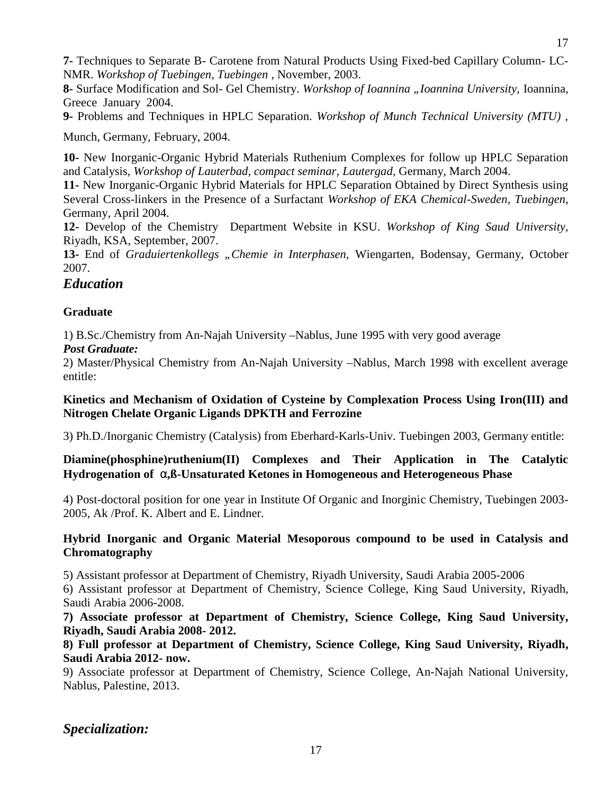**7-** Techniques to Separate B- Carotene from Natural Products Using Fixed-bed Capillary Column- LC- NMR. *Workshop of Tuebingen, Tuebingen* , November, 2003.

**8-** Surface Modification and Sol- Gel Chemistry. *Workshop of Ioannina "Ioannina University,* Ioannina, Greece January 2004.

**9-** Problems and Techniques in HPLC Separation. *Workshop of Munch Technical University (MTU) ,*

Munch, Germany, February, 2004.

**10-** New Inorganic-Organic Hybrid Materials Ruthenium Complexes for follow up HPLC Separation and Catalysis, *Workshop of Lauterbad, compact seminar, Lautergad*, Germany, March 2004.

**11-** New Inorganic-Organic Hybrid Materials for HPLC Separation Obtained by Direct Synthesis using Several Cross-linkers in the Presence of a Surfactant *Workshop of EKA Chemical-Sweden, Tuebingen*, Germany, April 2004.

**12-** Develop of the Chemistry Department Website in KSU. *Workshop of King Saud University,* Riyadh, KSA, September, 2007.

**13-** End of *Graduiertenkollegs "Chemie in Interphasen,* Wiengarten, Bodensay, Germany, October 2007.

#### *Education*

#### **Graduate**

1) B.Sc./Chemistry from An-Najah University –Nablus, June 1995 with very good average

#### *Post Graduate:*

2) Master/Physical Chemistry from An-Najah University –Nablus, March 1998 with excellent average entitle:

#### **Kinetics and Mechanism of Oxidation of Cysteine by Complexation Process Using Iron(III) and Nitrogen Chelate Organic Ligands DPKTH and Ferrozine**

3) Ph.D./Inorganic Chemistry (Catalysis) from Eberhard-Karls-Univ. Tuebingen 2003, Germany entitle:

### **Diamine(phosphine)ruthenium(II) Complexes and Their Application in The Catalytic** Hydrogenation of  $\Gamma$ , B-Unsaturated Ketones in Homogeneous and Heterogeneous Phase

4) Post-doctoral position for one year in Institute Of Organic and Inorginic Chemistry, Tuebingen 2003- 2005, Ak /Prof. K. Albert and E. Lindner.

#### **Hybrid Inorganic and Organic Material Mesoporous compound to be used in Catalysis and Chromatography**

5) Assistant professor at Department of Chemistry, Riyadh University, Saudi Arabia 2005-2006

6) Assistant professor at Department of Chemistry, Science College, King Saud University, Riyadh, Saudi Arabia 2006-2008.

**7) Associate professor at Department of Chemistry, Science College, King Saud University, Riyadh, Saudi Arabia 2008- 2012.**

**8) Full professor at Department of Chemistry, Science College, King Saud University, Riyadh, Saudi Arabia 2012- now.**

9) Associate professor at Department of Chemistry, Science College, An-Najah National University, Nablus, Palestine, 2013.

### *Specialization:*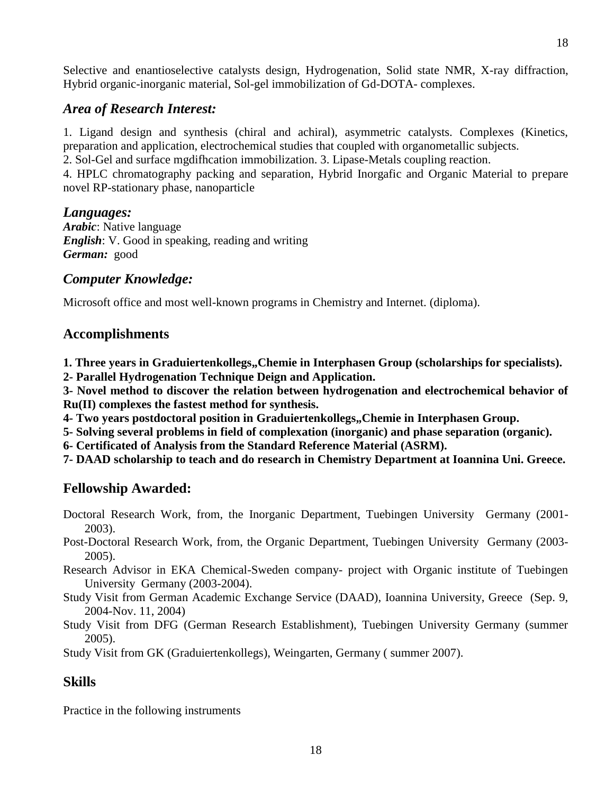Selective and enantioselective catalysts design, Hydrogenation, Solid state NMR, X-ray diffraction, Hybrid organic-inorganic material, Sol-gel immobilization of Gd-DOTA- complexes.

## *Area of Research Interest:*

1. Ligand design and synthesis (chiral and achiral), asymmetric catalysts. Complexes (Kinetics, preparation and application, electrochemical studies that coupled with organometallic subjects.

2. Sol-Gel and surface mgdifhcation immobilization. 3. Lipase-Metals coupling reaction.

4. HPLC chromatography packing and separation, Hybrid Inorgafic and Organic Material to prepare novel RP-stationary phase, nanoparticle

## *Languages:*

*Arabic*: Native language *English*: V. Good in speaking, reading and writing *German:* good

## *Computer Knowledge:*

Microsoft office and most well-known programs in Chemistry and Internet. (diploma).

## **Accomplishments**

1. Three years in Graduiertenkollegs,,Chemie in Interphasen Group (scholarships for specialists).

**2- Parallel Hydrogenation Technique Deign and Application.**

**3- Novel method to discover the relation between hydrogenation and electrochemical behavior of Ru(II) complexes the fastest method for synthesis.**

4- Two years postdoctoral position in Graduiertenkollegs,, Chemie in Interphasen Group.

**5- Solving several problems in field of complexation (inorganic) and phase separation (organic).**

**6- Certificated of Analysis from the Standard Reference Material (ASRM).**

**7- DAAD scholarship to teach and do research in Chemistry Department at Ioannina Uni. Greece.**

## **Fellowship Awarded:**

- Doctoral Research Work, from, the Inorganic Department, Tuebingen University Germany (2001- 2003).
- Post-Doctoral Research Work, from, the Organic Department, Tuebingen University Germany (2003- 2005).
- Research Advisor in EKA Chemical-Sweden company- project with Organic institute of Tuebingen University Germany (2003-2004).
- Study Visit from German Academic Exchange Service (DAAD), Ioannina University, Greece (Sep. 9, 2004-Nov. 11, 2004)

Study Visit from DFG (German Research Establishment), Tuebingen University Germany (summer 2005).

Study Visit from GK (Graduiertenkollegs), Weingarten, Germany ( summer 2007).

## **Skills**

Practice in the following instruments